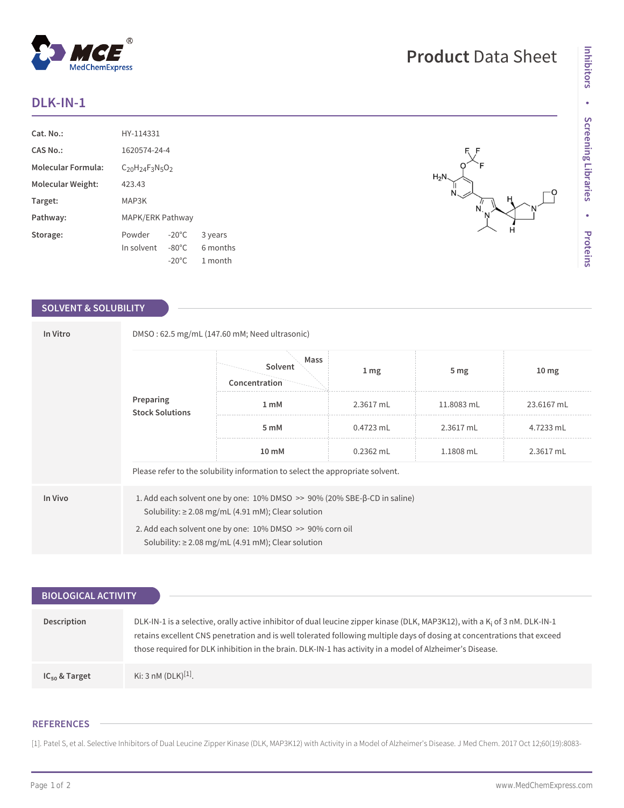## **DLK-IN-1**

| $Cat. No.$ :              | HY-114331                     |                 |          |  |
|---------------------------|-------------------------------|-----------------|----------|--|
| <b>CAS No.:</b>           | 1620574-24-4                  |                 |          |  |
| <b>Molecular Formula:</b> | $C_{20}H_{24}F_{3}N_{5}O_{2}$ |                 |          |  |
| Molecular Weight:         | 423.43                        |                 |          |  |
| Target:                   | MAP3K                         |                 |          |  |
| Pathway:                  | MAPK/ERK Pathway              |                 |          |  |
| Storage:                  | Powder                        | $-20^{\circ}$ C | 3 years  |  |
|                           | In solvent                    | $-80^{\circ}$ C | 6 months |  |
|                           |                               | $-20^{\circ}$ C | 1 month  |  |

## **SOLVENT & SOLUBILITY**

| In Vitro<br>Preparing | DMSO: 62.5 mg/mL (147.60 mM; Need ultrasonic)                                 |                                                                                                                                                                                                               |                  |                 |                  |  |  |
|-----------------------|-------------------------------------------------------------------------------|---------------------------------------------------------------------------------------------------------------------------------------------------------------------------------------------------------------|------------------|-----------------|------------------|--|--|
|                       | <b>Stock Solutions</b>                                                        | Mass<br>Solvent<br>Concentration                                                                                                                                                                              | $1 \, \text{mg}$ | 5 <sub>mg</sub> | 10 <sub>mg</sub> |  |  |
|                       |                                                                               | 1 <sub>mM</sub>                                                                                                                                                                                               | 2.3617 mL        | 11.8083 mL      | 23.6167 mL       |  |  |
|                       |                                                                               | 5 mM                                                                                                                                                                                                          | $0.4723$ mL      | 2.3617 mL       | 4.7233 mL        |  |  |
|                       |                                                                               | 10 mM                                                                                                                                                                                                         | $0.2362$ mL      | 1.1808 mL       | 2.3617 mL        |  |  |
|                       | Please refer to the solubility information to select the appropriate solvent. |                                                                                                                                                                                                               |                  |                 |                  |  |  |
| In Vivo               |                                                                               | 1. Add each solvent one by one: $10\%$ DMSO $\gg$ 90% (20% SBE- $\beta$ -CD in saline)<br>Solubility: $\geq$ 2.08 mg/mL (4.91 mM); Clear solution<br>2. Add each solvent one by one: 10% DMSO >> 90% corn oil |                  |                 |                  |  |  |
|                       | Solubility: $\geq$ 2.08 mg/mL (4.91 mM); Clear solution                       |                                                                                                                                                                                                               |                  |                 |                  |  |  |

| <b>BIOLOGICAL ACTIVITY</b> |                                                                                                                                                                                                                                                                                                                                                                               |
|----------------------------|-------------------------------------------------------------------------------------------------------------------------------------------------------------------------------------------------------------------------------------------------------------------------------------------------------------------------------------------------------------------------------|
|                            |                                                                                                                                                                                                                                                                                                                                                                               |
| Description                | DLK-IN-1 is a selective, orally active inhibitor of dual leucine zipper kinase (DLK, MAP3K12), with a K <sub>i</sub> of 3 nM. DLK-IN-1<br>retains excellent CNS penetration and is well tolerated following multiple days of dosing at concentrations that exceed<br>those required for DLK inhibition in the brain. DLK-IN-1 has activity in a model of Alzheimer's Disease. |
| $IC_{50}$ & Target         | Ki: 3 nM (DLK) <sup>[1]</sup> .                                                                                                                                                                                                                                                                                                                                               |

## **REFERENCES**

[1]. Patel S, et al. Selective Inhibitors of Dual Leucine Zipper Kinase (DLK, MAP3K12) with Activity in a Model of Alzheimer's Disease. J Med Chem. 2017 Oct 12;60(19):8083-

Ó



 $\overline{N}$ 

**Product** Data Sheet